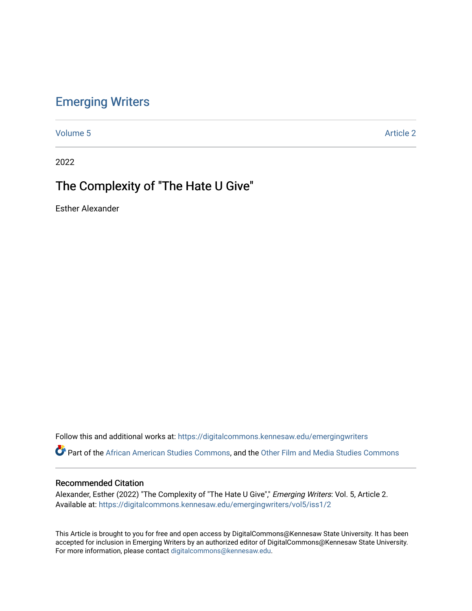## [Emerging Writers](https://digitalcommons.kennesaw.edu/emergingwriters)

[Volume 5](https://digitalcommons.kennesaw.edu/emergingwriters/vol5) Article 2

2022

# The Complexity of "The Hate U Give"

Esther Alexander

Follow this and additional works at: [https://digitalcommons.kennesaw.edu/emergingwriters](https://digitalcommons.kennesaw.edu/emergingwriters?utm_source=digitalcommons.kennesaw.edu%2Femergingwriters%2Fvol5%2Fiss1%2F2&utm_medium=PDF&utm_campaign=PDFCoverPages) 

Part of the [African American Studies Commons,](http://network.bepress.com/hgg/discipline/567?utm_source=digitalcommons.kennesaw.edu%2Femergingwriters%2Fvol5%2Fiss1%2F2&utm_medium=PDF&utm_campaign=PDFCoverPages) and the [Other Film and Media Studies Commons](http://network.bepress.com/hgg/discipline/565?utm_source=digitalcommons.kennesaw.edu%2Femergingwriters%2Fvol5%2Fiss1%2F2&utm_medium=PDF&utm_campaign=PDFCoverPages) 

#### Recommended Citation

Alexander, Esther (2022) "The Complexity of "The Hate U Give"," Emerging Writers: Vol. 5, Article 2. Available at: [https://digitalcommons.kennesaw.edu/emergingwriters/vol5/iss1/2](https://digitalcommons.kennesaw.edu/emergingwriters/vol5/iss1/2?utm_source=digitalcommons.kennesaw.edu%2Femergingwriters%2Fvol5%2Fiss1%2F2&utm_medium=PDF&utm_campaign=PDFCoverPages) 

This Article is brought to you for free and open access by DigitalCommons@Kennesaw State University. It has been accepted for inclusion in Emerging Writers by an authorized editor of DigitalCommons@Kennesaw State University. For more information, please contact [digitalcommons@kennesaw.edu.](mailto:digitalcommons@kennesaw.edu)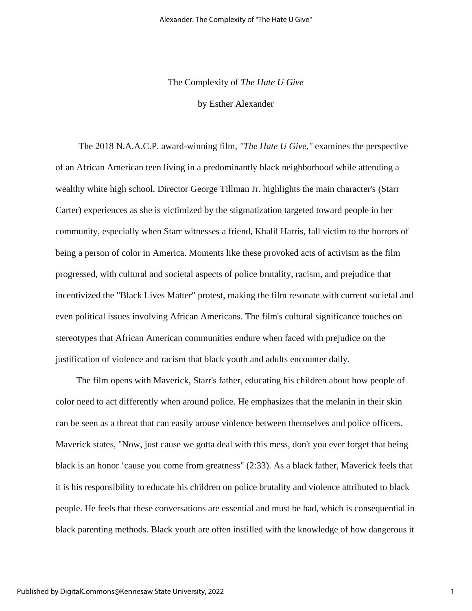## The Complexity of *The Hate U Give*

by Esther Alexander

 The 2018 N.A.A.C.P. award-winning film, *"The Hate U Give,"* examines the perspective of an African American teen living in a predominantly black neighborhood while attending a wealthy white high school. Director George Tillman Jr. highlights the main character's (Starr Carter) experiences as she is victimized by the stigmatization targeted toward people in her community, especially when Starr witnesses a friend, Khalil Harris, fall victim to the horrors of being a person of color in America. Moments like these provoked acts of activism as the film progressed, with cultural and societal aspects of police brutality, racism, and prejudice that incentivized the "Black Lives Matter" protest, making the film resonate with current societal and even political issues involving African Americans. The film's cultural significance touches on stereotypes that African American communities endure when faced with prejudice on the justification of violence and racism that black youth and adults encounter daily.

 The film opens with Maverick, Starr's father, educating his children about how people of color need to act differently when around police. He emphasizes that the melanin in their skin can be seen as a threat that can easily arouse violence between themselves and police officers. Maverick states, "Now, just cause we gotta deal with this mess, don't you ever forget that being black is an honor 'cause you come from greatness" (2:33). As a black father, Maverick feels that it is his responsibility to educate his children on police brutality and violence attributed to black people. He feels that these conversations are essential and must be had, which is consequential in black parenting methods. Black youth are often instilled with the knowledge of how dangerous it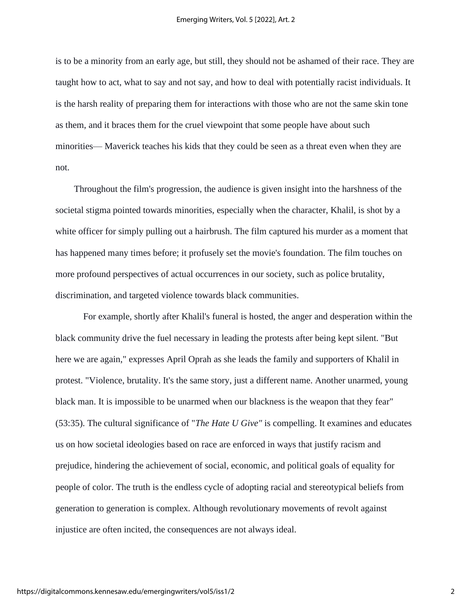is to be a minority from an early age, but still, they should not be ashamed of their race. They are taught how to act, what to say and not say, and how to deal with potentially racist individuals. It is the harsh reality of preparing them for interactions with those who are not the same skin tone as them, and it braces them for the cruel viewpoint that some people have about such minorities— Maverick teaches his kids that they could be seen as a threat even when they are not.

 Throughout the film's progression, the audience is given insight into the harshness of the societal stigma pointed towards minorities, especially when the character, Khalil, is shot by a white officer for simply pulling out a hairbrush. The film captured his murder as a moment that has happened many times before; it profusely set the movie's foundation. The film touches on more profound perspectives of actual occurrences in our society, such as police brutality, discrimination, and targeted violence towards black communities.

For example, shortly after Khalil's funeral is hosted, the anger and desperation within the black community drive the fuel necessary in leading the protests after being kept silent. "But here we are again," expresses April Oprah as she leads the family and supporters of Khalil in protest. "Violence, brutality. It's the same story, just a different name. Another unarmed, young black man. It is impossible to be unarmed when our blackness is the weapon that they fear" (53:35). The cultural significance of "*The Hate U Give"* is compelling. It examines and educates us on how societal ideologies based on race are enforced in ways that justify racism and prejudice, hindering the achievement of social, economic, and political goals of equality for people of color. The truth is the endless cycle of adopting racial and stereotypical beliefs from generation to generation is complex. Although revolutionary movements of revolt against injustice are often incited, the consequences are not always ideal.

2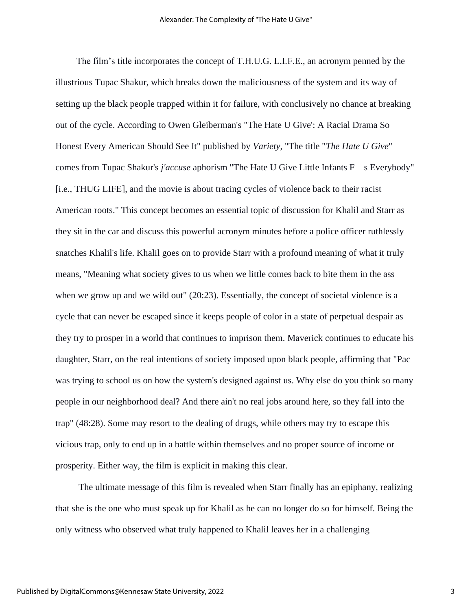The film's title incorporates the concept of T.H.U.G. L.I.F.E., an acronym penned by the illustrious Tupac Shakur, which breaks down the maliciousness of the system and its way of setting up the black people trapped within it for failure, with conclusively no chance at breaking out of the cycle. According to Owen Gleiberman's "The Hate U Give': A Racial Drama So Honest Every American Should See It" published by *Variety*, "The title "*The Hate U Give*" comes from Tupac Shakur's *j'accuse* aphorism "The Hate U Give Little Infants F—s Everybody" [i.e., THUG LIFE], and the movie is about tracing cycles of violence back to their racist American roots." This concept becomes an essential topic of discussion for Khalil and Starr as they sit in the car and discuss this powerful acronym minutes before a police officer ruthlessly snatches Khalil's life. Khalil goes on to provide Starr with a profound meaning of what it truly means, "Meaning what society gives to us when we little comes back to bite them in the ass when we grow up and we wild out" (20:23). Essentially, the concept of societal violence is a cycle that can never be escaped since it keeps people of color in a state of perpetual despair as they try to prosper in a world that continues to imprison them. Maverick continues to educate his daughter, Starr, on the real intentions of society imposed upon black people, affirming that "Pac was trying to school us on how the system's designed against us. Why else do you think so many people in our neighborhood deal? And there ain't no real jobs around here, so they fall into the trap" (48:28). Some may resort to the dealing of drugs, while others may try to escape this vicious trap, only to end up in a battle within themselves and no proper source of income or prosperity. Either way, the film is explicit in making this clear.

 The ultimate message of this film is revealed when Starr finally has an epiphany, realizing that she is the one who must speak up for Khalil as he can no longer do so for himself. Being the only witness who observed what truly happened to Khalil leaves her in a challenging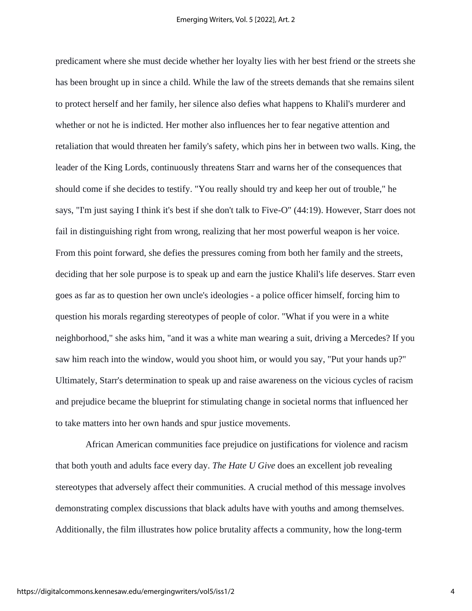predicament where she must decide whether her loyalty lies with her best friend or the streets she has been brought up in since a child. While the law of the streets demands that she remains silent to protect herself and her family, her silence also defies what happens to Khalil's murderer and whether or not he is indicted. Her mother also influences her to fear negative attention and retaliation that would threaten her family's safety, which pins her in between two walls. King, the leader of the King Lords, continuously threatens Starr and warns her of the consequences that should come if she decides to testify. "You really should try and keep her out of trouble," he says, "I'm just saying I think it's best if she don't talk to Five-O" (44:19). However, Starr does not fail in distinguishing right from wrong, realizing that her most powerful weapon is her voice. From this point forward, she defies the pressures coming from both her family and the streets, deciding that her sole purpose is to speak up and earn the justice Khalil's life deserves. Starr even goes as far as to question her own uncle's ideologies - a police officer himself, forcing him to question his morals regarding stereotypes of people of color. "What if you were in a white neighborhood," she asks him, "and it was a white man wearing a suit, driving a Mercedes? If you saw him reach into the window, would you shoot him, or would you say, "Put your hands up?" Ultimately, Starr's determination to speak up and raise awareness on the vicious cycles of racism and prejudice became the blueprint for stimulating change in societal norms that influenced her to take matters into her own hands and spur justice movements.

 African American communities face prejudice on justifications for violence and racism that both youth and adults face every day. *The Hate U Give* does an excellent job revealing stereotypes that adversely affect their communities. A crucial method of this message involves demonstrating complex discussions that black adults have with youths and among themselves. Additionally, the film illustrates how police brutality affects a community, how the long-term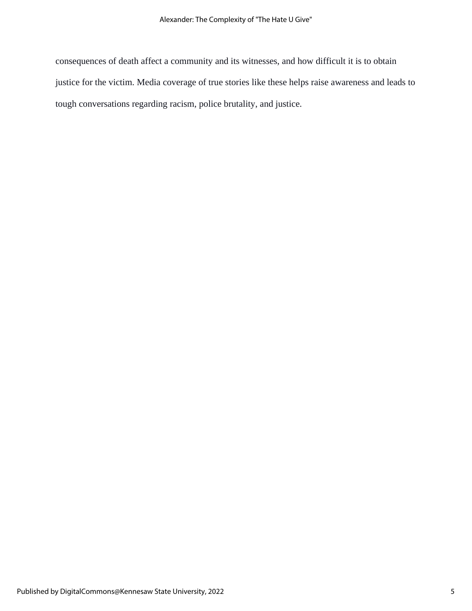consequences of death affect a community and its witnesses, and how difficult it is to obtain justice for the victim. Media coverage of true stories like these helps raise awareness and leads to tough conversations regarding racism, police brutality, and justice.